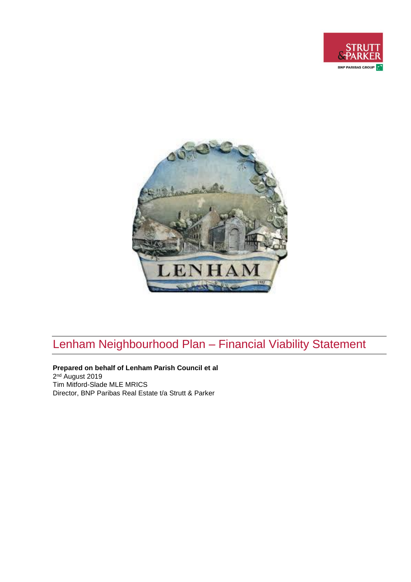



# Lenham Neighbourhood Plan – Financial Viability Statement

**Prepared on behalf of Lenham Parish Council et al** 2 nd August 2019 Tim Mitford-Slade MLE MRICS Director, BNP Paribas Real Estate t/a Strutt & Parker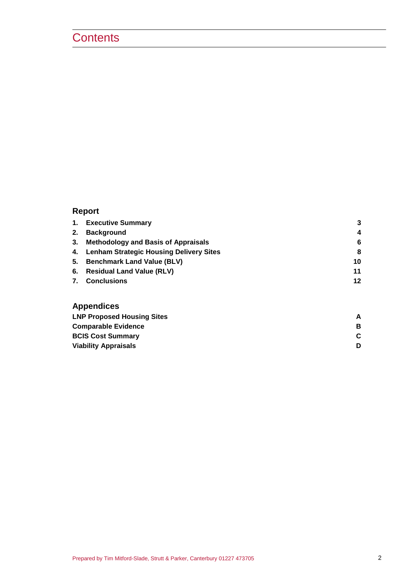## **Contents**

### **Report**

| $\mathbf{1}$ . | <b>Executive Summary</b>                   | 3  |
|----------------|--------------------------------------------|----|
| 2.             | <b>Background</b>                          | 4  |
| 3.             | <b>Methodology and Basis of Appraisals</b> | 6  |
|                | 4. Lenham Strategic Housing Delivery Sites | 8  |
| 5.             | <b>Benchmark Land Value (BLV)</b>          | 10 |
| 6.             | <b>Residual Land Value (RLV)</b>           | 11 |
| 7.             | <b>Conclusions</b>                         | 12 |
|                | <b>Appendices</b>                          |    |
|                | <b>LNP Proposed Housing Sites</b>          | А  |

| в |
|---|
|   |
|   |
|   |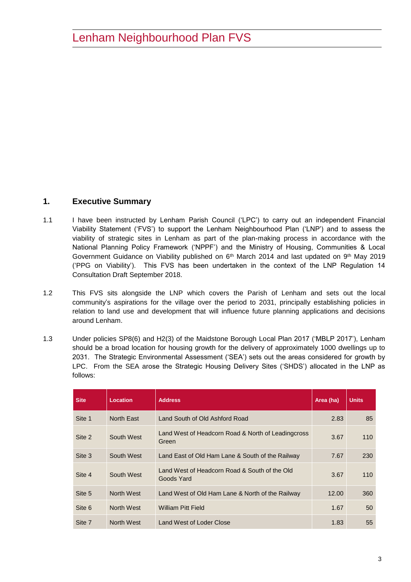### <span id="page-2-0"></span>**1. Executive Summary**

- 1.1 I have been instructed by Lenham Parish Council ('LPC') to carry out an independent Financial Viability Statement ('FVS') to support the Lenham Neighbourhood Plan ('LNP') and to assess the viability of strategic sites in Lenham as part of the plan-making process in accordance with the National Planning Policy Framework ('NPPF') and the Ministry of Housing, Communities & Local Government Guidance on Viability published on 6<sup>th</sup> March 2014 and last updated on 9<sup>th</sup> May 2019 ('PPG on Viability'). This FVS has been undertaken in the context of the LNP Regulation 14 Consultation Draft September 2018.
- 1.2 This FVS sits alongside the LNP which covers the Parish of Lenham and sets out the local community's aspirations for the village over the period to 2031, principally establishing policies in relation to land use and development that will influence future planning applications and decisions around Lenham.
- 1.3 Under policies SP8(6) and H2(3) of the Maidstone Borough Local Plan 2017 ('MBLP 2017'), Lenham should be a broad location for housing growth for the delivery of approximately 1000 dwellings up to 2031. The Strategic Environmental Assessment ('SEA') sets out the areas considered for growth by LPC. From the SEA arose the Strategic Housing Delivery Sites ('SHDS') allocated in the LNP as follows:

| <b>Site</b> | Location          | <b>Address</b>                                              | Area (ha) | <b>Units</b> |
|-------------|-------------------|-------------------------------------------------------------|-----------|--------------|
| Site 1      | North East        | Land South of Old Ashford Road                              | 2.83      | 85           |
| Site 2      | South West        | Land West of Headcorn Road & North of Leadingcross<br>Green | 3.67      | 110          |
| Site 3      | South West        | Land East of Old Ham Lane & South of the Railway            | 7.67      | 230          |
| Site 4      | South West        | Land West of Headcorn Road & South of the Old<br>Goods Yard | 3.67      | 110          |
| Site 5      | <b>North West</b> | Land West of Old Ham Lane & North of the Railway            | 12.00     | 360          |
| Site 6      | North West        | <b>William Pitt Field</b>                                   | 1.67      | 50           |
| Site 7      | North West        | Land West of Loder Close                                    | 1.83      | 55           |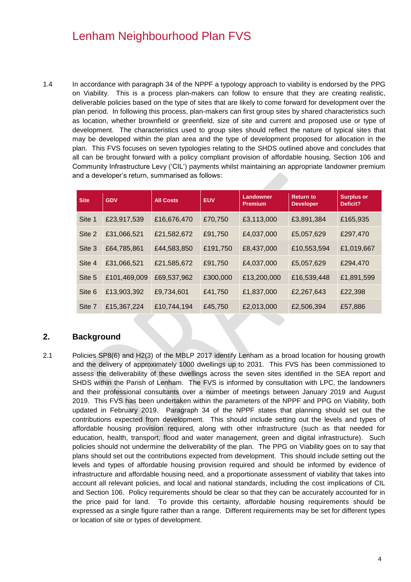1.4 In accordance with paragraph 34 of the NPPF a typology approach to viability is endorsed by the PPG on Viability. This is a process plan-makers can follow to ensure that they are creating realistic, deliverable policies based on the type of sites that are likely to come forward for development over the plan period. In following this process, plan-makers can first group sites by shared characteristics such as location, whether brownfield or greenfield, size of site and current and proposed use or type of development. The characteristics used to group sites should reflect the nature of typical sites that may be developed within the plan area and the type of development proposed for allocation in the plan. This FVS focuses on seven typologies relating to the SHDS outlined above and concludes that all can be brought forward with a policy compliant provision of affordable housing, Section 106 and Community Infrastructure Levy ('CIL') payments whilst maintaining an appropriate landowner premium and a developer's return, summarised as follows:

| <b>Site</b> | <b>GDV</b>   | <b>All Costs</b> | <b>EUV</b> | <b>Landowner</b><br><b>Premium</b> | <b>Return to</b><br><b>Developer</b> | Surplus or<br>Deficit? |
|-------------|--------------|------------------|------------|------------------------------------|--------------------------------------|------------------------|
| Site 1      | £23,917,539  | £16,676,470      | £70,750    | £3,113,000                         | £3,891,384                           | £165,935               |
| Site 2      | £31,066,521  | £21,582,672      | £91,750    | £4,037,000                         | £5,057,629                           | £297,470               |
| Site 3      | £64,785,861  | £44,583,850      | £191,750   | £8,437,000                         | £10,553,594                          | £1,019,667             |
| Site 4      | £31,066,521  | £21,585,672      | £91,750    | £4,037,000                         | £5,057,629                           | £294,470               |
| Site 5      | £101,469,009 | £69,537,962      | £300,000   | £13,200,000                        | £16,539,448                          | £1,891,599             |
| Site 6      | £13,903,392  | £9,734,601       | £41,750    | £1,837,000                         | £2,267,643                           | £22,398                |
| Site 7      | £15,367,224  | £10,744,194      | £45,750    | £2,013,000                         | £2,506,394                           | £57,886                |

### <span id="page-3-0"></span>**2. Background**

2.1 Policies SP8(6) and H2(3) of the MBLP 2017 identify Lenham as a broad location for housing growth and the delivery of approximately 1000 dwellings up to 2031. This FVS has been commissioned to assess the deliverability of these dwellings across the seven sites identified in the SEA report and SHDS within the Parish of Lenham. The FVS is informed by consultation with LPC, the landowners and their professional consultants over a number of meetings between January 2019 and August 2019. This FVS has been undertaken within the parameters of the NPPF and PPG on Viability, both updated in February 2019. Paragraph 34 of the NPPF states that planning should set out the contributions expected from development. This should include setting out the levels and types of affordable housing provision required, along with other infrastructure (such as that needed for education, health, transport, flood and water management, green and digital infrastructure). Such policies should not undermine the deliverability of the plan. The PPG on Viability goes on to say that plans should set out the contributions expected from development. This should include setting out the levels and types of affordable housing provision required and should be informed by evidence of infrastructure and affordable housing need, and a proportionate assessment of viability that takes into account all relevant policies, and local and national standards, including the cost implications of CIL and Section 106. Policy requirements should be clear so that they can be accurately accounted for in the price paid for land. To provide this certainty, affordable housing requirements should be expressed as a single figure rather than a range. Different requirements may be set for different types or location of site or types of development.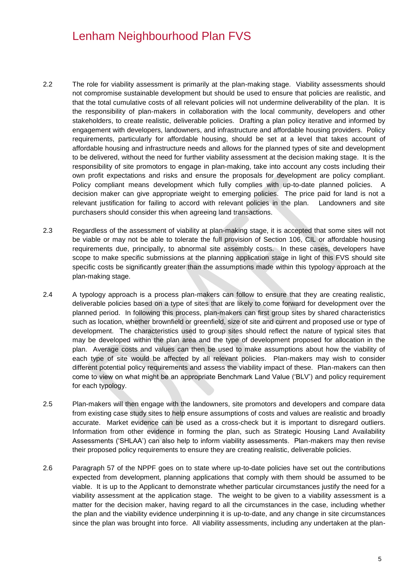- 2.2 The role for viability assessment is primarily at the plan-making stage. Viability assessments should not compromise sustainable development but should be used to ensure that policies are realistic, and that the total cumulative costs of all relevant policies will not undermine deliverability of the plan. It is the responsibility of plan-makers in collaboration with the local community, developers and other stakeholders, to create realistic, deliverable policies. Drafting a plan policy iterative and informed by engagement with developers, landowners, and infrastructure and affordable housing providers. Policy requirements, particularly for affordable housing, should be set at a level that takes account of affordable housing and infrastructure needs and allows for the planned types of site and development to be delivered, without the need for further viability assessment at the decision making stage. It is the responsibility of site promotors to engage in plan-making, take into account any costs including their own profit expectations and risks and ensure the proposals for development are policy compliant. Policy compliant means development which fully complies with up-to-date planned policies. A decision maker can give appropriate weight to emerging policies. The price paid for land is not a relevant justification for failing to accord with relevant policies in the plan. Landowners and site purchasers should consider this when agreeing land transactions.
- 2.3 Regardless of the assessment of viability at plan-making stage, it is accepted that some sites will not be viable or may not be able to tolerate the full provision of Section 106, CIL or affordable housing requirements due, principally, to abnormal site assembly costs. In these cases, developers have scope to make specific submissions at the planning application stage in light of this FVS should site specific costs be significantly greater than the assumptions made within this typology approach at the plan-making stage.
- 2.4 A typology approach is a process plan-makers can follow to ensure that they are creating realistic, deliverable policies based on a type of sites that are likely to come forward for development over the planned period. In following this process, plan-makers can first group sites by shared characteristics such as location, whether brownfield or greenfield, size of site and current and proposed use or type of development. The characteristics used to group sites should reflect the nature of typical sites that may be developed within the plan area and the type of development proposed for allocation in the plan. Average costs and values can then be used to make assumptions about how the viability of each type of site would be affected by all relevant policies. Plan-makers may wish to consider different potential policy requirements and assess the viability impact of these. Plan-makers can then come to view on what might be an appropriate Benchmark Land Value ('BLV') and policy requirement for each typology.
- 2.5 Plan-makers will then engage with the landowners, site promotors and developers and compare data from existing case study sites to help ensure assumptions of costs and values are realistic and broadly accurate. Market evidence can be used as a cross-check but it is important to disregard outliers. Information from other evidence in forming the plan, such as Strategic Housing Land Availability Assessments ('SHLAA') can also help to inform viability assessments. Plan-makers may then revise their proposed policy requirements to ensure they are creating realistic, deliverable policies.
- 2.6 Paragraph 57 of the NPPF goes on to state where up-to-date policies have set out the contributions expected from development, planning applications that comply with them should be assumed to be viable. It is up to the Applicant to demonstrate whether particular circumstances justify the need for a viability assessment at the application stage. The weight to be given to a viability assessment is a matter for the decision maker, having regard to all the circumstances in the case, including whether the plan and the viability evidence underpinning it is up-to-date, and any change in site circumstances since the plan was brought into force. All viability assessments, including any undertaken at the plan-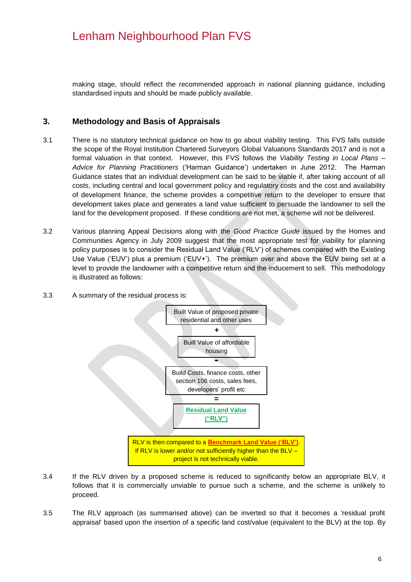making stage, should reflect the recommended approach in national planning guidance, including standardised inputs and should be made publicly available.

### <span id="page-5-0"></span>**3. Methodology and Basis of Appraisals**

- 3.1 There is no statutory technical guidance on how to go about viability testing. This FVS falls outside the scope of the Royal Institution Chartered Surveyors Global Valuations Standards 2017 and is not a formal valuation in that context. However, this FVS follows the *Viability Testing in Local Plans – Advice for Planning Practitioners* ('Harman Guidance') undertaken in June 2012. The Harman Guidance states that an individual development can be said to be viable if, after taking account of all costs, including central and local government policy and regulatory costs and the cost and availability of development finance, the scheme provides a competitive return to the developer to ensure that development takes place and generates a land value sufficient to persuade the landowner to sell the land for the development proposed. If these conditions are not met, a scheme will not be delivered.
- 3.2 Various planning Appeal Decisions along with the *Good Practice Guide* issued by the Homes and Communities Agency in July 2009 suggest that the most appropriate test for viability for planning policy purposes is to consider the Residual Land Value ('RLV') of schemes compared with the Existing Use Value ('EUV') plus a premium ('EUV+'). The premium over and above the EUV being set at a level to provide the landowner with a competitive return and the inducement to sell. This methodology is illustrated as follows:
- 3.3 A summary of the residual process is:



- 3.4 If the RLV driven by a proposed scheme is reduced to significantly below an appropriate BLV, it follows that it is commercially unviable to pursue such a scheme, and the scheme is unlikely to proceed.
- 3.5 The RLV approach (as summarised above) can be inverted so that it becomes a 'residual profit appraisal' based upon the insertion of a specific land cost/value (equivalent to the BLV) at the top. By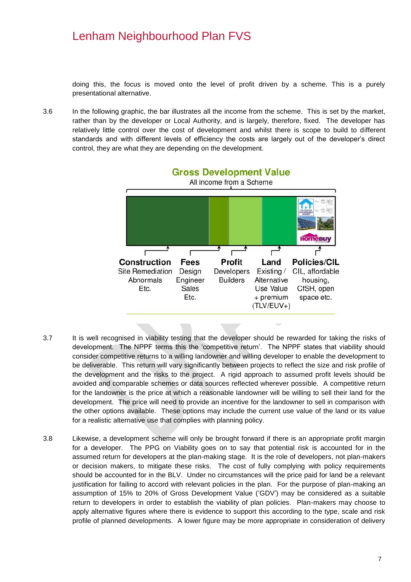doing this, the focus is moved onto the level of profit driven by a scheme. This is a purely presentational alternative.

3.6 In the following graphic, the bar illustrates all the income from the scheme. This is set by the market, rather than by the developer or Local Authority, and is largely, therefore, fixed. The developer has relatively little control over the cost of development and whilst there is scope to build to different standards and with different levels of efficiency the costs are largely out of the developer's direct control, they are what they are depending on the development.



- 3.7 It is well recognised in viability testing that the developer should be rewarded for taking the risks of development. The NPPF terms this the 'competitive return'. The NPPF states that viability should consider competitive returns to a willing landowner and willing developer to enable the development to be deliverable. This return will vary significantly between projects to reflect the size and risk profile of the development and the risks to the project. A rigid approach to assumed profit levels should be avoided and comparable schemes or data sources reflected wherever possible. A competitive return for the landowner is the price at which a reasonable landowner will be willing to sell their land for the development. The price will need to provide an incentive for the landowner to sell in comparison with the other options available. These options may include the current use value of the land or its value for a realistic alternative use that complies with planning policy.
- 3.8 Likewise, a development scheme will only be brought forward if there is an appropriate profit margin for a developer. The PPG on Viability goes on to say that potential risk is accounted for in the assumed return for developers at the plan-making stage. It is the role of developers, not plan-makers or decision makers, to mitigate these risks. The cost of fully complying with policy requirements should be accounted for in the BLV. Under no circumstances will the price paid for land be a relevant justification for failing to accord with relevant policies in the plan. For the purpose of plan-making an assumption of 15% to 20% of Gross Development Value ('GDV') may be considered as a suitable return to developers in order to establish the viability of plan policies. Plan-makers may choose to apply alternative figures where there is evidence to support this according to the type, scale and risk profile of planned developments. A lower figure may be more appropriate in consideration of delivery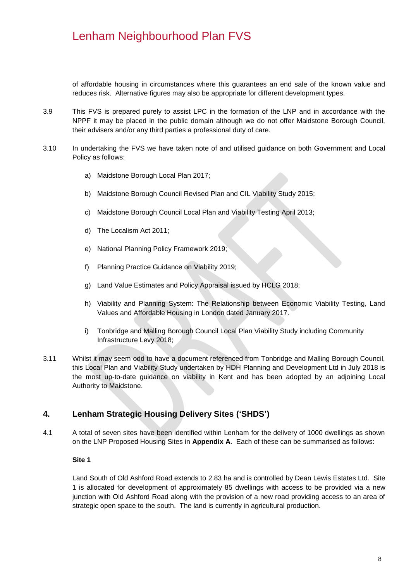of affordable housing in circumstances where this guarantees an end sale of the known value and reduces risk. Alternative figures may also be appropriate for different development types.

- 3.9 This FVS is prepared purely to assist LPC in the formation of the LNP and in accordance with the NPPF it may be placed in the public domain although we do not offer Maidstone Borough Council, their advisers and/or any third parties a professional duty of care.
- 3.10 In undertaking the FVS we have taken note of and utilised guidance on both Government and Local Policy as follows:
	- a) Maidstone Borough Local Plan 2017;
	- b) Maidstone Borough Council Revised Plan and CIL Viability Study 2015;
	- c) Maidstone Borough Council Local Plan and Viability Testing April 2013;
	- d) The Localism Act 2011;
	- e) National Planning Policy Framework 2019;
	- f) Planning Practice Guidance on Viability 2019;
	- g) Land Value Estimates and Policy Appraisal issued by HCLG 2018;
	- h) Viability and Planning System: The Relationship between Economic Viability Testing, Land Values and Affordable Housing in London dated January 2017.
	- i) Tonbridge and Malling Borough Council Local Plan Viability Study including Community Infrastructure Levy 2018;
- 3.11 Whilst it may seem odd to have a document referenced from Tonbridge and Malling Borough Council, this Local Plan and Viability Study undertaken by HDH Planning and Development Ltd in July 2018 is the most up-to-date guidance on viability in Kent and has been adopted by an adjoining Local Authority to Maidstone.

### <span id="page-7-0"></span>**4. Lenham Strategic Housing Delivery Sites ('SHDS')**

4.1 A total of seven sites have been identified within Lenham for the delivery of 1000 dwellings as shown on the LNP Proposed Housing Sites in **Appendix A**. Each of these can be summarised as follows:

#### **Site 1**

Land South of Old Ashford Road extends to 2.83 ha and is controlled by Dean Lewis Estates Ltd. Site 1 is allocated for development of approximately 85 dwellings with access to be provided via a new junction with Old Ashford Road along with the provision of a new road providing access to an area of strategic open space to the south. The land is currently in agricultural production.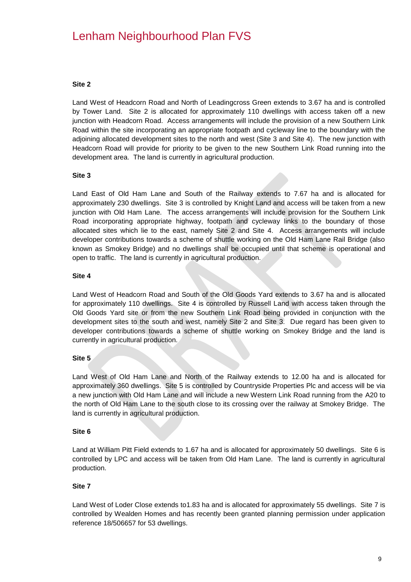#### **Site 2**

Land West of Headcorn Road and North of Leadingcross Green extends to 3.67 ha and is controlled by Tower Land. Site 2 is allocated for approximately 110 dwellings with access taken off a new junction with Headcorn Road. Access arrangements will include the provision of a new Southern Link Road within the site incorporating an appropriate footpath and cycleway line to the boundary with the adjoining allocated development sites to the north and west (Site 3 and Site 4). The new junction with Headcorn Road will provide for priority to be given to the new Southern Link Road running into the development area. The land is currently in agricultural production.

#### **Site 3**

Land East of Old Ham Lane and South of the Railway extends to 7.67 ha and is allocated for approximately 230 dwellings. Site 3 is controlled by Knight Land and access will be taken from a new junction with Old Ham Lane. The access arrangements will include provision for the Southern Link Road incorporating appropriate highway, footpath and cycleway links to the boundary of those allocated sites which lie to the east, namely Site 2 and Site 4. Access arrangements will include developer contributions towards a scheme of shuttle working on the Old Ham Lane Rail Bridge (also known as Smokey Bridge) and no dwellings shall be occupied until that scheme is operational and open to traffic. The land is currently in agricultural production.

#### **Site 4**

Land West of Headcorn Road and South of the Old Goods Yard extends to 3.67 ha and is allocated for approximately 110 dwellings. Site 4 is controlled by Russell Land with access taken through the Old Goods Yard site or from the new Southern Link Road being provided in conjunction with the development sites to the south and west, namely Site 2 and Site 3. Due regard has been given to developer contributions towards a scheme of shuttle working on Smokey Bridge and the land is currently in agricultural production.

#### **Site 5**

Land West of Old Ham Lane and North of the Railway extends to 12.00 ha and is allocated for approximately 360 dwellings. Site 5 is controlled by Countryside Properties Plc and access will be via a new junction with Old Ham Lane and will include a new Western Link Road running from the A20 to the north of Old Ham Lane to the south close to its crossing over the railway at Smokey Bridge. The land is currently in agricultural production.

#### **Site 6**

Land at William Pitt Field extends to 1.67 ha and is allocated for approximately 50 dwellings. Site 6 is controlled by LPC and access will be taken from Old Ham Lane. The land is currently in agricultural production.

#### **Site 7**

Land West of Loder Close extends to1.83 ha and is allocated for approximately 55 dwellings. Site 7 is controlled by Wealden Homes and has recently been granted planning permission under application reference 18/506657 for 53 dwellings.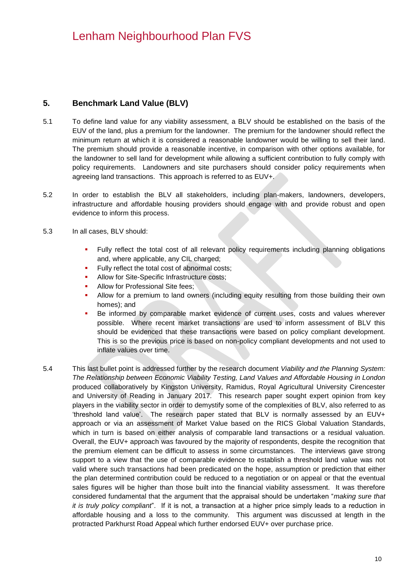### <span id="page-9-0"></span>**5. Benchmark Land Value (BLV)**

- 5.1 To define land value for any viability assessment, a BLV should be established on the basis of the EUV of the land, plus a premium for the landowner. The premium for the landowner should reflect the minimum return at which it is considered a reasonable landowner would be willing to sell their land. The premium should provide a reasonable incentive, in comparison with other options available, for the landowner to sell land for development while allowing a sufficient contribution to fully comply with policy requirements. Landowners and site purchasers should consider policy requirements when agreeing land transactions. This approach is referred to as EUV+.
- 5.2 In order to establish the BLV all stakeholders, including plan-makers, landowners, developers, infrastructure and affordable housing providers should engage with and provide robust and open evidence to inform this process.
- 5.3 In all cases, BLV should:
	- **Fully reflect the total cost of all relevant policy requirements including planning obligations** and, where applicable, any CIL charged;
	- Fully reflect the total cost of abnormal costs;
	- Allow for Site-Specific Infrastructure costs:
	- Allow for Professional Site fees;
	- Allow for a premium to land owners (including equity resulting from those building their own homes); and
	- Be informed by comparable market evidence of current uses, costs and values wherever possible. Where recent market transactions are used to inform assessment of BLV this should be evidenced that these transactions were based on policy compliant development. This is so the previous price is based on non-policy compliant developments and not used to inflate values over time.
- 5.4 This last bullet point is addressed further by the research document *Viability and the Planning System: The Relationship between Economic Viability Testing, Land Values and Affordable Housing in London*  produced collaboratively by Kingston University, Ramidus, Royal Agricultural University Cirencester and University of Reading in January 2017*.* This research paper sought expert opinion from key players in the viability sector in order to demystify some of the complexities of BLV, also referred to as 'threshold land value'. The research paper stated that BLV is normally assessed by an EUV+ approach or via an assessment of Market Value based on the RICS Global Valuation Standards, which in turn is based on either analysis of comparable land transactions or a residual valuation. Overall, the EUV+ approach was favoured by the majority of respondents, despite the recognition that the premium element can be difficult to assess in some circumstances. The interviews gave strong support to a view that the use of comparable evidence to establish a threshold land value was not valid where such transactions had been predicated on the hope, assumption or prediction that either the plan determined contribution could be reduced to a negotiation or on appeal or that the eventual sales figures will be higher than those built into the financial viability assessment. It was therefore considered fundamental that the argument that the appraisal should be undertaken "*making sure that it is truly policy compliant*". If it is not, a transaction at a higher price simply leads to a reduction in affordable housing and a loss to the community. This argument was discussed at length in the protracted Parkhurst Road Appeal which further endorsed EUV+ over purchase price.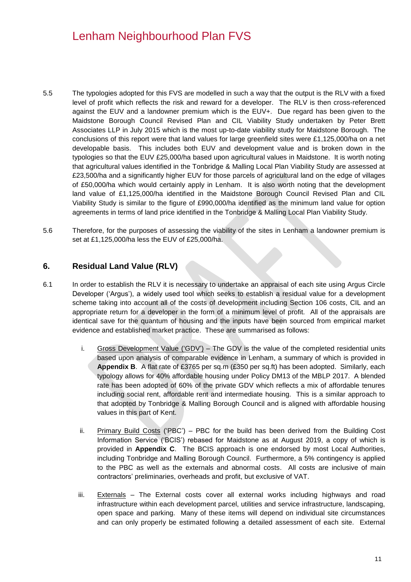- 5.5 The typologies adopted for this FVS are modelled in such a way that the output is the RLV with a fixed level of profit which reflects the risk and reward for a developer. The RLV is then cross-referenced against the EUV and a landowner premium which is the EUV+. Due regard has been given to the Maidstone Borough Council Revised Plan and CIL Viability Study undertaken by Peter Brett Associates LLP in July 2015 which is the most up-to-date viability study for Maidstone Borough. The conclusions of this report were that land values for large greenfield sites were £1,125,000/ha on a net developable basis. This includes both EUV and development value and is broken down in the typologies so that the EUV £25,000/ha based upon agricultural values in Maidstone. It is worth noting that agricultural values identified in the Tonbridge & Malling Local Plan Viability Study are assessed at £23,500/ha and a significantly higher EUV for those parcels of agricultural land on the edge of villages of £50,000/ha which would certainly apply in Lenham. It is also worth noting that the development land value of £1,125,000/ha identified in the Maidstone Borough Council Revised Plan and CIL Viability Study is similar to the figure of £990,000/ha identified as the minimum land value for option agreements in terms of land price identified in the Tonbridge & Malling Local Plan Viability Study.
- 5.6 Therefore, for the purposes of assessing the viability of the sites in Lenham a landowner premium is set at £1,125,000/ha less the EUV of £25,000/ha.

### <span id="page-10-0"></span>**6. Residual Land Value (RLV)**

- 6.1 In order to establish the RLV it is necessary to undertake an appraisal of each site using Argus Circle Developer ('Argus'), a widely used tool which seeks to establish a residual value for a development scheme taking into account all of the costs of development including Section 106 costs, CIL and an appropriate return for a developer in the form of a minimum level of profit. All of the appraisals are identical save for the quantum of housing and the inputs have been sourced from empirical market evidence and established market practice. These are summarised as follows:
	- i. Gross Development Value ('GDV') The GDV is the value of the completed residential units based upon analysis of comparable evidence in Lenham, a summary of which is provided in **Appendix B**. A flat rate of £3765 per sq.m (£350 per sq.ft) has been adopted. Similarly, each typology allows for 40% affordable housing under Policy DM13 of the MBLP 2017. A blended rate has been adopted of 60% of the private GDV which reflects a mix of affordable tenures including social rent, affordable rent and intermediate housing. This is a similar approach to that adopted by Tonbridge & Malling Borough Council and is aligned with affordable housing values in this part of Kent.
	- ii. Primary Build Costs ('PBC') PBC for the build has been derived from the Building Cost Information Service ('BCIS') rebased for Maidstone as at August 2019, a copy of which is provided in **Appendix C**. The BCIS approach is one endorsed by most Local Authorities, including Tonbridge and Malling Borough Council. Furthermore, a 5% contingency is applied to the PBC as well as the externals and abnormal costs. All costs are inclusive of main contractors' preliminaries, overheads and profit, but exclusive of VAT.
	- iii. Externals The External costs cover all external works including highways and road infrastructure within each development parcel, utilities and service infrastructure, landscaping, open space and parking. Many of these items will depend on individual site circumstances and can only properly be estimated following a detailed assessment of each site. External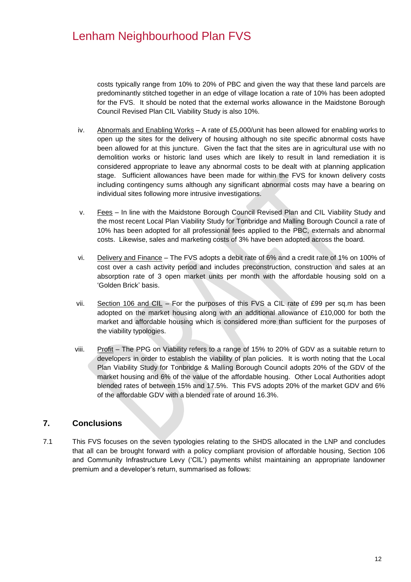costs typically range from 10% to 20% of PBC and given the way that these land parcels are predominantly stitched together in an edge of village location a rate of 10% has been adopted for the FVS. It should be noted that the external works allowance in the Maidstone Borough Council Revised Plan CIL Viability Study is also 10%.

- iv. Abnormals and Enabling Works A rate of £5,000/unit has been allowed for enabling works to open up the sites for the delivery of housing although no site specific abnormal costs have been allowed for at this juncture. Given the fact that the sites are in agricultural use with no demolition works or historic land uses which are likely to result in land remediation it is considered appropriate to leave any abnormal costs to be dealt with at planning application stage. Sufficient allowances have been made for within the FVS for known delivery costs including contingency sums although any significant abnormal costs may have a bearing on individual sites following more intrusive investigations.
- v. Fees In line with the Maidstone Borough Council Revised Plan and CIL Viability Study and the most recent Local Plan Viability Study for Tonbridge and Malling Borough Council a rate of 10% has been adopted for all professional fees applied to the PBC, externals and abnormal costs. Likewise, sales and marketing costs of 3% have been adopted across the board.
- vi. Delivery and Finance The FVS adopts a debit rate of 6% and a credit rate of 1% on 100% of cost over a cash activity period and includes preconstruction, construction and sales at an absorption rate of 3 open market units per month with the affordable housing sold on a 'Golden Brick' basis.
- vii. Section 106 and CIL For the purposes of this FVS a CIL rate of £99 per sq.m has been adopted on the market housing along with an additional allowance of £10,000 for both the market and affordable housing which is considered more than sufficient for the purposes of the viability typologies.
- viii. Profit The PPG on Viability refers to a range of 15% to 20% of GDV as a suitable return to developers in order to establish the viability of plan policies. It is worth noting that the Local Plan Viability Study for Tonbridge & Malling Borough Council adopts 20% of the GDV of the market housing and 6% of the value of the affordable housing. Other Local Authorities adopt blended rates of between 15% and 17.5%. This FVS adopts 20% of the market GDV and 6% of the affordable GDV with a blended rate of around 16.3%.

### <span id="page-11-0"></span>**7. Conclusions**

7.1 This FVS focuses on the seven typologies relating to the SHDS allocated in the LNP and concludes that all can be brought forward with a policy compliant provision of affordable housing, Section 106 and Community Infrastructure Levy ('CIL') payments whilst maintaining an appropriate landowner premium and a developer's return, summarised as follows: